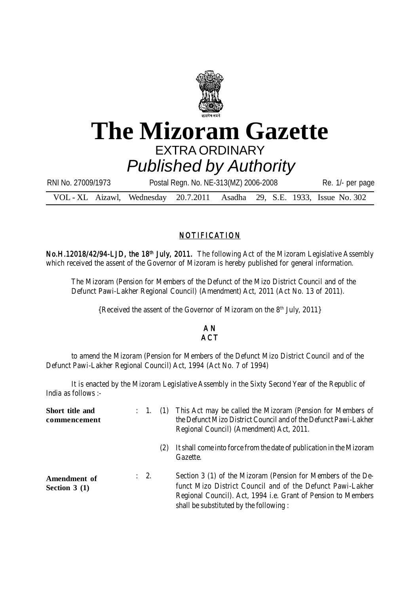

## **The Mizoram Gazette** EXTRA ORDINARY *Published by Authority*

| RNI No. 27009/1973                                                       | Postal Regn. No. NE-313(MZ) 2006-2008 |  |  |  |  | Re. 1/- per page |
|--------------------------------------------------------------------------|---------------------------------------|--|--|--|--|------------------|
| VOL - XL Aizawl, Wednesday 20.7.2011 Asadha 29, S.E. 1933, Issue No. 302 |                                       |  |  |  |  |                  |

## NOTIFICATION

No.H.12018/42/94-LJD, the 18<sup>th</sup> July, 2011. The following Act of the Mizoram Legislative Assembly which received the assent of the Governor of Mizoram is hereby published for general information.

The Mizoram (Pension for Members of the Defunct of the Mizo District Council and of the Defunct Pawi-Lakher Regional Council) (Amendment) Act, 2011 (Act No. 13 of 2011).

{Received the assent of the Governor of Mizoram on the 8th July, 2011}

## A N **ACT**

to amend the Mizoram (Pension for Members of the Defunct Mizo District Council and of the Defunct Pawi-Lakher Regional Council) Act, 1994 (Act No. 7 of 1994)

It is enacted by the Mizoram Legislative Assembly in the Sixty Second Year of the Republic of India as follows :-

| Short title and<br>commencement | : 1. (1)        |     | This Act may be called the Mizoram (Pension for Members of<br>the Defunct Mizo District Council and of the Defunct Pawi-Lakher<br>Regional Council) (Amendment) Act, 2011.                                                            |
|---------------------------------|-----------------|-----|---------------------------------------------------------------------------------------------------------------------------------------------------------------------------------------------------------------------------------------|
|                                 |                 | (2) | It shall come into force from the date of publication in the Mizoram<br>Gazette.                                                                                                                                                      |
| Amendment of<br>Section $3(1)$  | $\therefore$ 2. |     | Section 3 (1) of the Mizoram (Pension for Members of the De-<br>funct Mizo District Council and of the Defunct Pawi-Lakher<br>Regional Council). Act, 1994 i.e. Grant of Pension to Members<br>shall be substituted by the following: |